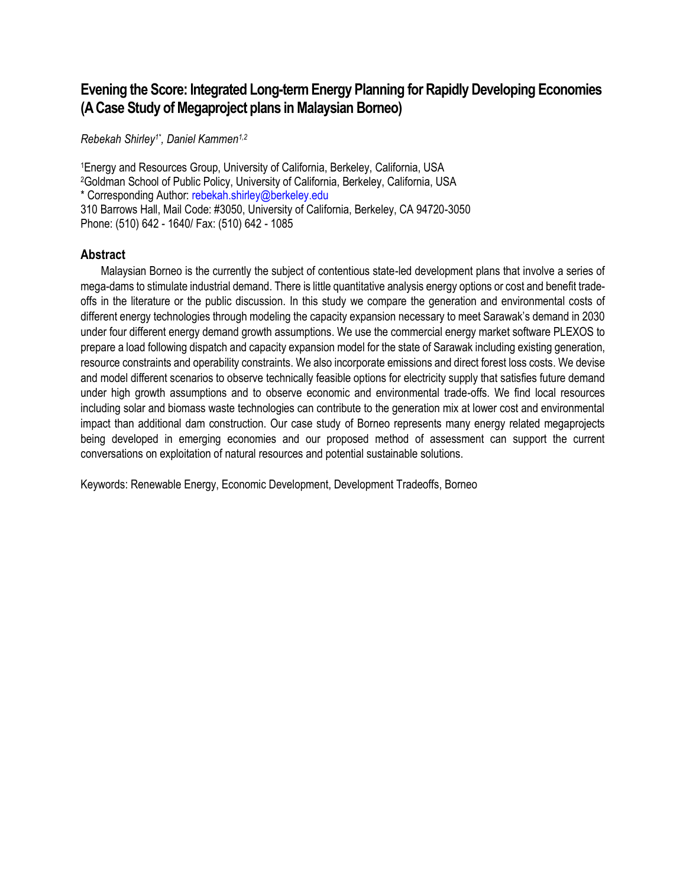# **Evening the Score: Integrated Long-term Energy Planning for Rapidly Developing Economies (A Case Study of Megaproject plans in Malaysian Borneo)**

*Rebekah Shirley1\* , Daniel Kammen1,2*

<sup>1</sup>Energy and Resources Group, University of California, Berkeley, California, USA <sup>2</sup>Goldman School of Public Policy, University of California, Berkeley, California, USA \* Corresponding Author: rebekah.shirley@berkeley.edu 310 Barrows Hall, Mail Code: #3050, University of California, Berkeley, CA 94720-3050 Phone: (510) 642 - 1640/ Fax: (510) 642 - 1085

#### **Abstract**

Malaysian Borneo is the currently the subject of contentious state-led development plans that involve a series of mega-dams to stimulate industrial demand. There is little quantitative analysis energy options or cost and benefit tradeoffs in the literature or the public discussion. In this study we compare the generation and environmental costs of different energy technologies through modeling the capacity expansion necessary to meet Sarawak's demand in 2030 under four different energy demand growth assumptions. We use the commercial energy market software PLEXOS to prepare a load following dispatch and capacity expansion model for the state of Sarawak including existing generation, resource constraints and operability constraints. We also incorporate emissions and direct forest loss costs. We devise and model different scenarios to observe technically feasible options for electricity supply that satisfies future demand under high growth assumptions and to observe economic and environmental trade-offs. We find local resources including solar and biomass waste technologies can contribute to the generation mix at lower cost and environmental impact than additional dam construction. Our case study of Borneo represents many energy related megaprojects being developed in emerging economies and our proposed method of assessment can support the current conversations on exploitation of natural resources and potential sustainable solutions.

Keywords: Renewable Energy, Economic Development, Development Tradeoffs, Borneo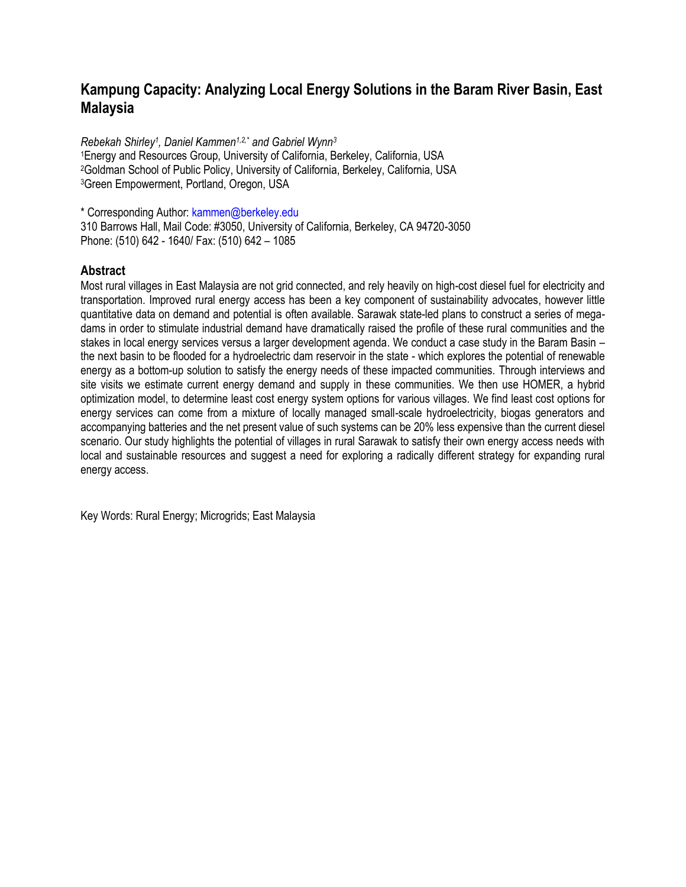## **Kampung Capacity: Analyzing Local Energy Solutions in the Baram River Basin, East Malaysia**

*Rebekah Shirley<sup>1</sup> , Daniel Kammen1,2,\* and Gabriel Wynn<sup>3</sup>* Energy and Resources Group, University of California, Berkeley, California, USA Goldman School of Public Policy, University of California, Berkeley, California, USA Green Empowerment, Portland, Oregon, USA

\* Corresponding Author: kammen@berkeley.edu

310 Barrows Hall, Mail Code: #3050, University of California, Berkeley, CA 94720-3050 Phone: (510) 642 - 1640/ Fax: (510) 642 – 1085

### **Abstract**

Most rural villages in East Malaysia are not grid connected, and rely heavily on high-cost diesel fuel for electricity and transportation. Improved rural energy access has been a key component of sustainability advocates, however little quantitative data on demand and potential is often available. Sarawak state-led plans to construct a series of megadams in order to stimulate industrial demand have dramatically raised the profile of these rural communities and the stakes in local energy services versus a larger development agenda. We conduct a case study in the Baram Basin – the next basin to be flooded for a hydroelectric dam reservoir in the state - which explores the potential of renewable energy as a bottom-up solution to satisfy the energy needs of these impacted communities. Through interviews and site visits we estimate current energy demand and supply in these communities. We then use HOMER, a hybrid optimization model, to determine least cost energy system options for various villages. We find least cost options for energy services can come from a mixture of locally managed small-scale hydroelectricity, biogas generators and accompanying batteries and the net present value of such systems can be 20% less expensive than the current diesel scenario. Our study highlights the potential of villages in rural Sarawak to satisfy their own energy access needs with local and sustainable resources and suggest a need for exploring a radically different strategy for expanding rural energy access.

Key Words: Rural Energy; Microgrids; East Malaysia